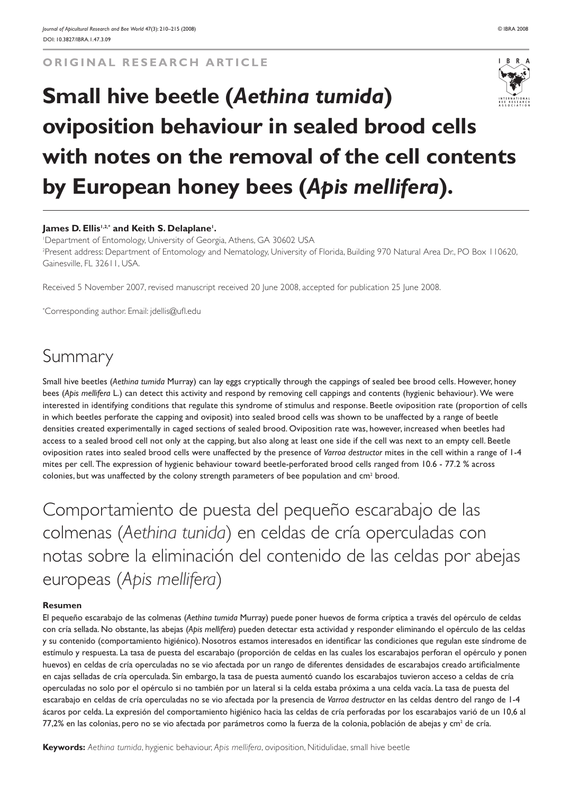**ORIGINAL RESEARCH ARTICLE**



# **Small hive beetle (***Aethina tumida***) oviposition behaviour in sealed brood cells with notes on the removal of the cell contents by European honey bees (***Apis mellifera***).**

#### **James D. Ellis1,2,\* and Keith S. Delaplane1 .**

1 Department of Entomology, University of Georgia, Athens, GA 30602 USA 2 Present address: Department of Entomology and Nematology, University of Florida, Building 970 Natural Area Dr., PO Box 110620, Gainesville, FL 32611, USA.

Received 5 November 2007, revised manuscript received 20 June 2008, accepted for publication 25 June 2008.

\* Corresponding author. Email: jdellis@ufl.edu

# Summary

Small hive beetles (*Aethina tumida* Murray) can lay eggs cryptically through the cappings of sealed bee brood cells. However, honey bees (*Apis mellifera* L.) can detect this activity and respond by removing cell cappings and contents (hygienic behaviour). We were interested in identifying conditions that regulate this syndrome of stimulus and response. Beetle oviposition rate (proportion of cells in which beetles perforate the capping and oviposit) into sealed brood cells was shown to be unaffected by a range of beetle densities created experimentally in caged sections of sealed brood. Oviposition rate was, however, increased when beetles had access to a sealed brood cell not only at the capping, but also along at least one side if the cell was next to an empty cell. Beetle oviposition rates into sealed brood cells were unaffected by the presence of *Varroa destructor* mites in the cell within a range of 1-4 mites per cell. The expression of hygienic behaviour toward beetle-perforated brood cells ranged from 10.6 - 77.2 % across colonies, but was unaffected by the colony strength parameters of bee population and  $cm<sup>2</sup>$  brood.

Comportamiento de puesta del pequeño escarabajo de las colmenas (*Aethina tunida*) en celdas de cría operculadas con notas sobre la eliminación del contenido de las celdas por abejas europeas (*Apis mellifera*)

#### **Resumen**

El pequeño escarabajo de las colmenas (*Aethina tumida* Murray) puede poner huevos de forma críptica a través del opérculo de celdas con cría sellada. No obstante, las abejas (*Apis mellifera*) pueden detectar esta actividad y responder eliminando el opérculo de las celdas y su contenido (comportamiento higiénico). Nosotros estamos interesados en identificar las condiciones que regulan este síndrome de estímulo y respuesta. La tasa de puesta del escarabajo (proporción de celdas en las cuales los escarabajos perforan el opérculo y ponen huevos) en celdas de cría operculadas no se vio afectada por un rango de diferentes densidades de escarabajos creado artificialmente en cajas selladas de cría operculada. Sin embargo, la tasa de puesta aumentó cuando los escarabajos tuvieron acceso a celdas de cría operculadas no solo por el opérculo si no también por un lateral si la celda estaba próxima a una celda vacía. La tasa de puesta del escarabajo en celdas de cría operculadas no se vio afectada por la presencia de *Varroa destructor* en las celdas dentro del rango de 1-4 ácaros por celda. La expresión del comportamiento higiénico hacia las celdas de cría perforadas por los escarabajos varió de un 10,6 al 77,2% en las colonias, pero no se vio afectada por parámetros como la fuerza de la colonia, población de abejas y cm<sup>2</sup> de cría.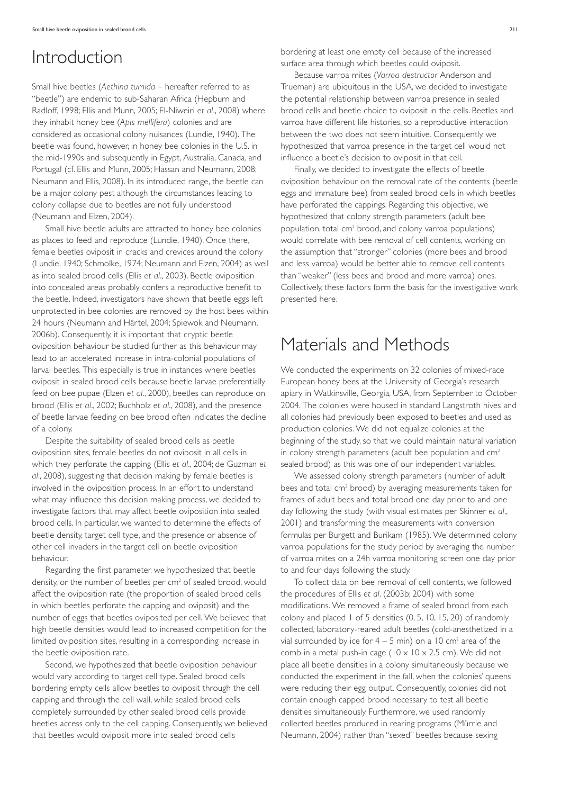### Introduction

Small hive beetles (*Aethina tumida* – hereafter referred to as "beetle") are endemic to sub-Saharan Africa (Hepburn and Radloff, 1998; Ellis and Munn, 2005; El-Niweiri *et al*., 2008) where they inhabit honey bee (*Apis mellifera*) colonies and are considered as occasional colony nuisances (Lundie, 1940). The beetle was found, however, in honey bee colonies in the U.S. in the mid-1990s and subsequently in Egypt, Australia, Canada, and Portugal (cf. Ellis and Munn, 2005; Hassan and Neumann, 2008; Neumann and Ellis, 2008). In its introduced range, the beetle can be a major colony pest although the circumstances leading to colony collapse due to beetles are not fully understood (Neumann and Elzen, 2004).

Small hive beetle adults are attracted to honey bee colonies as places to feed and reproduce (Lundie, 1940). Once there, female beetles oviposit in cracks and crevices around the colony (Lundie, 1940; Schmolke, 1974; Neumann and Elzen, 2004) as well as into sealed brood cells (Ellis *et al*., 2003). Beetle oviposition into concealed areas probably confers a reproductive benefit to the beetle. Indeed, investigators have shown that beetle eggs left unprotected in bee colonies are removed by the host bees within 24 hours (Neumann and Härtel, 2004; Spiewok and Neumann, 2006b). Consequently, it is important that cryptic beetle oviposition behaviour be studied further as this behaviour may lead to an accelerated increase in intra-colonial populations of larval beetles. This especially is true in instances where beetles oviposit in sealed brood cells because beetle larvae preferentially feed on bee pupae (Elzen *et al*., 2000), beetles can reproduce on brood (Ellis *et al*., 2002; Buchholz *et al*., 2008), and the presence of beetle larvae feeding on bee brood often indicates the decline of a colony.

Despite the suitability of sealed brood cells as beetle oviposition sites, female beetles do not oviposit in all cells in which they perforate the capping (Ellis *et al*., 2004; de Guzman *et al*., 2008), suggesting that decision making by female beetles is involved in the oviposition process. In an effort to understand what may influence this decision making process, we decided to investigate factors that may affect beetle oviposition into sealed brood cells. In particular, we wanted to determine the effects of beetle density, target cell type, and the presence or absence of other cell invaders in the target cell on beetle oviposition behaviour.

Regarding the first parameter, we hypothesized that beetle density, or the number of beetles per cm<sup>2</sup> of sealed brood, would affect the oviposition rate (the proportion of sealed brood cells in which beetles perforate the capping and oviposit) and the number of eggs that beetles oviposited per cell. We believed that high beetle densities would lead to increased competition for the limited oviposition sites, resulting in a corresponding increase in the beetle oviposition rate.

Second, we hypothesized that beetle oviposition behaviour would vary according to target cell type. Sealed brood cells bordering empty cells allow beetles to oviposit through the cell capping and through the cell wall, while sealed brood cells completely surrounded by other sealed brood cells provide beetles access only to the cell capping. Consequently, we believed that beetles would oviposit more into sealed brood cells

bordering at least one empty cell because of the increased surface area through which beetles could oviposit.

Because varroa mites (*Varroa destructor* Anderson and Trueman) are ubiquitous in the USA, we decided to investigate the potential relationship between varroa presence in sealed brood cells and beetle choice to oviposit in the cells. Beetles and varroa have different life histories, so a reproductive interaction between the two does not seem intuitive. Consequently, we hypothesized that varroa presence in the target cell would not influence a beetle's decision to oviposit in that cell.

Finally, we decided to investigate the effects of beetle oviposition behaviour on the removal rate of the contents (beetle eggs and immature bee) from sealed brood cells in which beetles have perforated the cappings. Regarding this objective, we hypothesized that colony strength parameters (adult bee population, total cm2 brood, and colony varroa populations) would correlate with bee removal of cell contents, working on the assumption that "stronger" colonies (more bees and brood and less varroa) would be better able to remove cell contents than "weaker" (less bees and brood and more varroa) ones. Collectively, these factors form the basis for the investigative work presented here.

### Materials and Methods

We conducted the experiments on 32 colonies of mixed-race European honey bees at the University of Georgia's research apiary in Watkinsville, Georgia, USA, from September to October 2004. The colonies were housed in standard Langstroth hives and all colonies had previously been exposed to beetles and used as production colonies. We did not equalize colonies at the beginning of the study, so that we could maintain natural variation in colony strength parameters (adult bee population and  $cm<sup>2</sup>$ sealed brood) as this was one of our independent variables.

We assessed colony strength parameters (number of adult bees and total cm<sup>2</sup> brood) by averaging measurements taken for frames of adult bees and total brood one day prior to and one day following the study (with visual estimates per Skinner *et al*., 2001) and transforming the measurements with conversion formulas per Burgett and Burikam (1985). We determined colony varroa populations for the study period by averaging the number of varroa mites on a 24h varroa monitoring screen one day prior to and four days following the study.

To collect data on bee removal of cell contents, we followed the procedures of Ellis *et al*. (2003b; 2004) with some modifications. We removed a frame of sealed brood from each colony and placed 1 of 5 densities (0, 5, 10, 15, 20) of randomly collected, laboratory-reared adult beetles (cold-anesthetized in a vial surrounded by ice for  $4 - 5$  min) on a 10 cm<sup>2</sup> area of the comb in a metal push-in cage ( $10 \times 10 \times 2.5$  cm). We did not place all beetle densities in a colony simultaneously because we conducted the experiment in the fall, when the colonies' queens were reducing their egg output. Consequently, colonies did not contain enough capped brood necessary to test all beetle densities simultaneously. Furthermore, we used randomly collected beetles produced in rearing programs (Mürrle and Neumann, 2004) rather than "sexed" beetles because sexing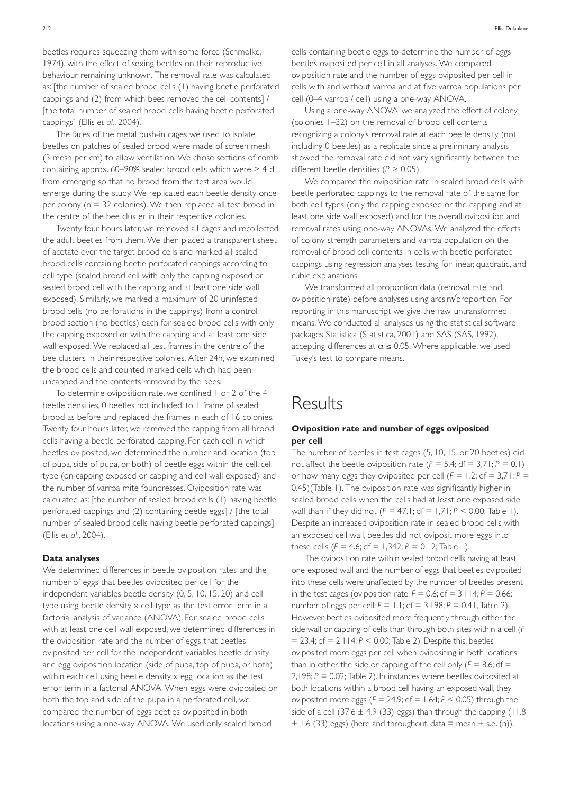The faces of the metal push-in cages we used to isolate beetles on patches of sealed brood were made of screen mesh (3 mesh per cm) to allow ventilation. We chose sections of comb containing approx. 60–90% sealed brood cells which were > 4 d from emerging so that no brood from the test area would emerge during the study. We replicated each beetle density once per colony (n = 32 colonies). We then replaced all test brood in the centre of the bee cluster in their respective colonies.

Twenty four hours later, we removed all cages and recollected the adult beetles from them. We then placed a transparent sheet of acetate over the target brood cells and marked all sealed brood cells containing beetle perforated cappings according to cell type (sealed brood cell with only the capping exposed or sealed brood cell with the capping and at least one side wall exposed). Similarly, we marked a maximum of 20 uninfested brood cells (no perforations in the cappings) from a control brood section (no beetles) each for sealed brood cells with only the capping exposed or with the capping and at least one side wall exposed. We replaced all test frames in the centre of the bee clusters in their respective colonies. After 24h, we examined the brood cells and counted marked cells which had been uncapped and the contents removed by the bees.

To determine oviposition rate, we confined 1 or 2 of the 4 beetle densities, 0 beetles not included, to 1 frame of sealed brood as before and replaced the frames in each of 16 colonies. Twenty four hours later, we removed the capping from all brood cells having a beetle perforated capping. For each cell in which beetles oviposited, we determined the number and location (top of pupa, side of pupa, or both) of beetle eggs within the cell, cell type (on capping exposed or capping and cell wall exposed), and the number of varroa mite foundresses. Oviposition rate was calculated as: [the number of sealed brood cells (1) having beetle perforated cappings and (2) containing beetle eggs] / [the total number of sealed brood cells having beetle perforated cappings] (Ellis *et al*., 2004).

#### **Data analyses**

We determined differences in beetle oviposition rates and the number of eggs that beetles oviposited per cell for the independent variables beetle density (0, 5, 10, 15, 20) and cell type using beetle density x cell type as the test error term in a factorial analysis of variance (ANOVA). For sealed brood cells with at least one cell wall exposed, we determined differences in the oviposition rate and the number of eggs that beetles oviposited per cell for the independent variables beetle density and egg oviposition location (side of pupa, top of pupa, or both) within each cell using beetle density x egg location as the test error term in a factorial ANOVA. When eggs were oviposited on both the top and side of the pupa in a perforated cell, we compared the number of eggs beetles oviposited in both locations using a one-way ANOVA. We used only sealed brood

cells containing beetle eggs to determine the number of eggs beetles oviposited per cell in all analyses. We compared oviposition rate and the number of eggs oviposited per cell in cells with and without varroa and at five varroa populations per cell (0–4 varroa / cell) using a one-way ANOVA.

Using a one-way ANOVA, we analyzed the effect of colony (colonies 1–32) on the removal of brood cell contents recognizing a colony's removal rate at each beetle density (not including 0 beetles) as a replicate since a preliminary analysis showed the removal rate did not vary significantly between the different beetle densities (*P* > 0.05).

We compared the oviposition rate in sealed brood cells with beetle perforated cappings to the removal rate of the same for both cell types (only the capping exposed or the capping and at least one side wall exposed) and for the overall oviposition and removal rates using one-way ANOVAs. We analyzed the effects of colony strength parameters and varroa population on the removal of brood cell contents in cells with beetle perforated cappings using regression analyses testing for linear, quadratic, and cubic explanations.

We transformed all proportion data (removal rate and oviposition rate) before analyses using arcsin√proportion. For reporting in this manuscript we give the raw, untransformed means. We conducted all analyses using the statistical software packages Statistica (Statistica, 2001) and SAS (SAS, 1992), accepting differences at  $\alpha \le 0.05$ . Where applicable, we used Tukey's test to compare means.

### **Results**

#### **Oviposition rate and number of eggs oviposited per cell**

The number of beetles in test cages (5, 10, 15, or 20 beetles) did not affect the beetle oviposition rate  $(F = 5.4; df = 3.71; P = 0.1)$ or how many eggs they oviposited per cell  $(F = 1.2; df = 3.71; P = 1.2)$ 0.45)(Table 1). The oviposition rate was significantly higher in sealed brood cells when the cells had at least one exposed side wall than if they did not  $(F = 47.1; df = 1.71; P < 0.00;$  Table 1). Despite an increased oviposition rate in sealed brood cells with an exposed cell wall, beetles did not oviposit more eggs into these cells  $(F = 4.6; df = 1,342; P = 0.12; Table 1)$ .

The oviposition rate within sealed brood cells having at least one exposed wall and the number of eggs that beetles oviposited into these cells were unaffected by the number of beetles present in the test cages (oviposition rate:  $F = 0.6$ ;  $df = 3$ ,  $114$ ;  $P = 0.66$ ; number of eggs per cell:  $F = 1.1$ ; df = 3,198;  $P = 0.41$ , Table 2). However, beetles oviposited more frequently through either the side wall or capping of cells than through both sites within a cell (*F* = 23.4; df = 2,114; *P* < 0.00; Table 2). Despite this, beetles oviposited more eggs per cell when ovipositing in both locations than in either the side or capping of the cell only  $(F = 8.6; df =$ 2,198; *P* = 0.02; Table 2). In instances where beetles oviposited at both locations within a brood cell having an exposed wall, they oviposited more eggs ( $F = 24.9$ ; df = 1,64;  $P < 0.05$ ) through the side of a cell (37.6  $\pm$  4.9 (33) eggs) than through the capping (11.8  $\pm$  1.6 (33) eggs) (here and throughout, data = mean  $\pm$  s.e. (n)).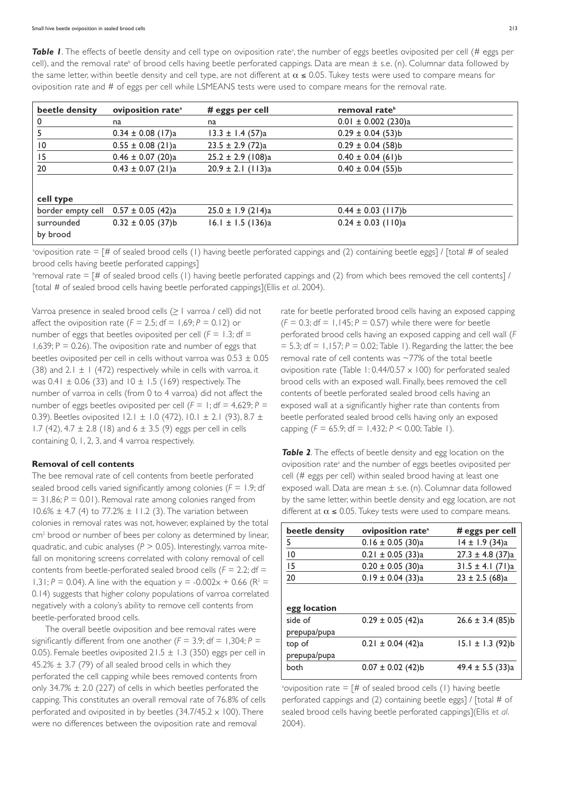**Table I**. The effects of beetle density and cell type on oviposition rateª, the number of eggs beetles oviposited per cell (# eggs per cell), and the removal rate<sup>b</sup> of brood cells having beetle perforated cappings. Data are mean  $\pm$  s.e. (n). Columnar data followed by the same letter, within beetle density and cell type, are not different at  $\alpha \le 0.05$ . Tukey tests were used to compare means for oviposition rate and # of eggs per cell while LSMEANS tests were used to compare means for the removal rate.

| beetle density  | oviposition rate <sup>a</sup>           | # eggs per cell       | removal rate <sup>b</sup> |
|-----------------|-----------------------------------------|-----------------------|---------------------------|
| $\mathbf{0}$    | na                                      | na                    | $0.01 \pm 0.002$ (230)a   |
|                 | $0.34 \pm 0.08$ (17)a                   | $13.3 \pm 1.4$ (57)a  | $0.29 \pm 0.04$ (53)b     |
| $\overline{10}$ | $0.55 \pm 0.08$ (21)a                   | $23.5 \pm 2.9$ (72)a  | $0.29 \pm 0.04$ (58)b     |
| 15              | $0.46 \pm 0.07$ (20)a                   | $25.2 \pm 2.9$ (108)a | $0.40 \pm 0.04$ (61)b     |
| 20              | $0.43 \pm 0.07$ (21)a                   | $20.9 \pm 2.1$ (113)a | $0.40 \pm 0.04$ (55)b     |
|                 |                                         |                       |                           |
| cell type       |                                         |                       |                           |
|                 | border empty cell $0.57 \pm 0.05$ (42)a | $25.0 \pm 1.9$ (214)a | $0.44 \pm 0.03$ (117)b    |
| surrounded      | $0.32 \pm 0.05$ (37)b                   | 16.1 ± 1.5 (136)a     | $0.24 \pm 0.03$ (110)a    |
| by brood        |                                         |                       |                           |

a oviposition rate = [# of sealed brood cells (1) having beetle perforated cappings and (2) containing beetle eggs] / [total # of sealed brood cells having beetle perforated cappings]

b removal rate = [# of sealed brood cells (1) having beetle perforated cappings and (2) from which bees removed the cell contents] / [total # of sealed brood cells having beetle perforated cappings](Ellis *et al*. 2004).

Varroa presence in sealed brood cells  $( \geq |$  varroa / cell) did not affect the oviposition rate  $(F = 2.5; df = 1,69; P = 0.12)$  or number of eggs that beetles oviposited per cell  $(F = 1.3; df = 1.3)$ 1,639;  $P = 0.26$ ). The oviposition rate and number of eggs that beetles oviposited per cell in cells without varroa was  $0.53 \pm 0.05$ (38) and 2.1  $\pm$  1 (472) respectively while in cells with varroa, it was  $0.41 \pm 0.06$  (33) and  $10 \pm 1.5$  (169) respectively. The number of varroa in cells (from 0 to 4 varroa) did not affect the number of eggs beetles oviposited per cell  $(F = 1; df = 4,629; P = 1)$ 0.39). Beetles oviposited 12.1  $\pm$  1.0 (472), 10.1  $\pm$  2.1 (93), 8.7  $\pm$ 1.7 (42), 4.7  $\pm$  2.8 (18) and 6  $\pm$  3.5 (9) eggs per cell in cells containing 0, 1, 2, 3, and 4 varroa respectively.

#### **Removal of cell contents**

The bee removal rate of cell contents from beetle perforated sealed brood cells varied significantly among colonies (*F* = 1.9; df  $= 31,86; P = 0.01$ ). Removal rate among colonies ranged from  $10.6\% \pm 4.7$  (4) to 77.2%  $\pm$  11.2 (3). The variation between colonies in removal rates was not, however, explained by the total cm<sup>2</sup> brood or number of bees per colony as determined by linear, quadratic, and cubic analyses ( $P > 0.05$ ). Interestingly, varroa mitefall on monitoring screens correlated with colony removal of cell contents from beetle-perforated sealed brood cells (*F* = 2.2; df = 1,31;  $P = 0.04$ ). A line with the equation  $y = -0.002x + 0.66$  (R<sup>2</sup> = 0.14) suggests that higher colony populations of varroa correlated negatively with a colony's ability to remove cell contents from beetle-perforated brood cells.

The overall beetle oviposition and bee removal rates were significantly different from one another  $(F = 3.9; df = 1,304; P =$ 0.05). Female beetles oviposited  $21.5 \pm 1.3$  (350) eggs per cell in  $45.2\% \pm 3.7$  (79) of all sealed brood cells in which they perforated the cell capping while bees removed contents from only  $34.7\% \pm 2.0$  (227) of cells in which beetles perforated the capping. This constitutes an overall removal rate of 76.8% of cells perforated and oviposited in by beetles  $(34.7/45.2 \times 100)$ . There were no differences between the oviposition rate and removal

rate for beetle perforated brood cells having an exposed capping  $(F = 0.3; df = 1,145; P = 0.57)$  while there were for beetle perforated brood cells having an exposed capping and cell wall (*F*  $= 5.3$ ; df  $= 1.157$ ;  $P = 0.02$ ; Table 1). Regarding the latter, the bee removal rate of cell contents was ~77% of the total beetle oviposition rate (Table 1: 0.44/0.57  $\times$  100) for perforated sealed brood cells with an exposed wall. Finally, bees removed the cell contents of beetle perforated sealed brood cells having an exposed wall at a significantly higher rate than contents from beetle perforated sealed brood cells having only an exposed capping  $(F = 65.9; df = 1,432; P < 0.00; Table 1)$ .

**Table 2**. The effects of beetle density and egg location on the oviposition rate<sup>a</sup> and the number of eggs beetles oviposited per cell (# eggs per cell) within sealed brood having at least one exposed wall. Data are mean ± s.e. (n). Columnar data followed by the same letter, within beetle density and egg location, are not different at  $\alpha \le 0.05$ . Tukey tests were used to compare means.

| beetle density | oviposition rate <sup>a</sup> | # eggs per cell      |
|----------------|-------------------------------|----------------------|
| 5              | $0.16 \pm 0.05$ (30)a         | 14 ± 1.9 (34)a       |
| $\overline{0}$ | $0.21 \pm 0.05$ (33)a         | $27.3 \pm 4.8$ (37)a |
| 15             | $0.20 \pm 0.05$ (30)a         | $31.5 \pm 4.1 (71)a$ |
| 20             | $0.19 \pm 0.04$ (33)a         | $23 \pm 2.5$ (68)a   |
| egg location   |                               |                      |
| side of        | $0.29 \pm 0.05$ (42)a         | $26.6 \pm 3.4$ (85)b |
| prepupa/pupa   |                               |                      |
| top of         | $0.21 \pm 0.04$ (42)a         | $15.1 \pm 1.3$ (92)b |
| prepupa/pupa   |                               |                      |
| both           | $0.07 \pm 0.02$ (42)b         | $49.4 \pm 5.5$ (33)a |

 $^{\circ}$ oviposition rate = [# of sealed brood cells (1) having beetle perforated cappings and (2) containing beetle eggs] / [total # of sealed brood cells having beetle perforated cappings](Ellis *et al*. 2004).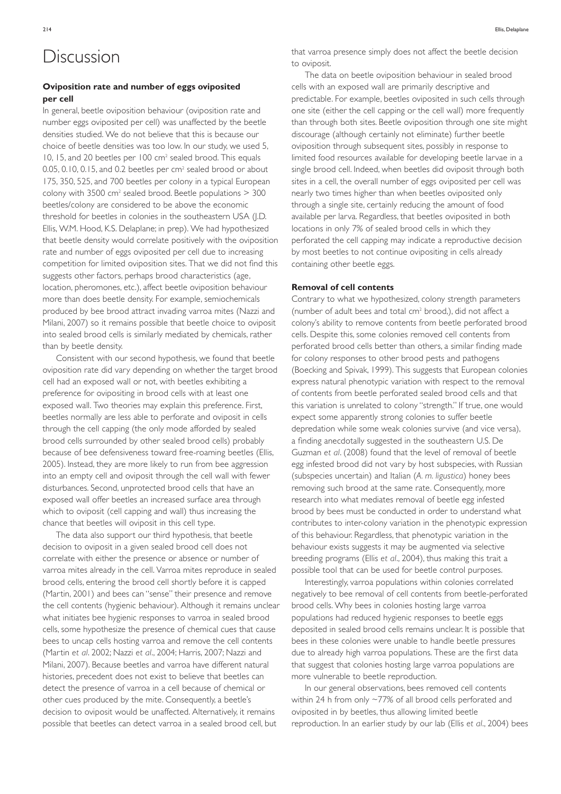### Discussion

#### **Oviposition rate and number of eggs oviposited per cell**

In general, beetle oviposition behaviour (oviposition rate and number eggs oviposited per cell) was unaffected by the beetle densities studied. We do not believe that this is because our choice of beetle densities was too low. In our study, we used 5, 10, 15, and 20 beetles per 100 cm<sup>2</sup> sealed brood. This equals 0.05, 0.10, 0.15, and 0.2 beetles per cm<sup>2</sup> sealed brood or about 175, 350, 525, and 700 beetles per colony in a typical European colony with  $3500 \text{ cm}^2$  sealed brood. Beetle populations  $> 300$ beetles/colony are considered to be above the economic threshold for beetles in colonies in the southeastern USA (J.D. Ellis, W.M. Hood, K.S. Delaplane; in prep). We had hypothesized that beetle density would correlate positively with the oviposition rate and number of eggs oviposited per cell due to increasing competition for limited oviposition sites. That we did not find this suggests other factors, perhaps brood characteristics (age, location, pheromones, etc.), affect beetle oviposition behaviour more than does beetle density. For example, semiochemicals produced by bee brood attract invading varroa mites (Nazzi and Milani, 2007) so it remains possible that beetle choice to oviposit into sealed brood cells is similarly mediated by chemicals, rather than by beetle density.

Consistent with our second hypothesis, we found that beetle oviposition rate did vary depending on whether the target brood cell had an exposed wall or not, with beetles exhibiting a preference for ovipositing in brood cells with at least one exposed wall. Two theories may explain this preference. First, beetles normally are less able to perforate and oviposit in cells through the cell capping (the only mode afforded by sealed brood cells surrounded by other sealed brood cells) probably because of bee defensiveness toward free-roaming beetles (Ellis, 2005). Instead, they are more likely to run from bee aggression into an empty cell and oviposit through the cell wall with fewer disturbances. Second, unprotected brood cells that have an exposed wall offer beetles an increased surface area through which to oviposit (cell capping and wall) thus increasing the chance that beetles will oviposit in this cell type.

The data also support our third hypothesis, that beetle decision to oviposit in a given sealed brood cell does not correlate with either the presence or absence or number of varroa mites already in the cell. Varroa mites reproduce in sealed brood cells, entering the brood cell shortly before it is capped (Martin, 2001) and bees can "sense" their presence and remove the cell contents (hygienic behaviour). Although it remains unclear what initiates bee hygienic responses to varroa in sealed brood cells, some hypothesize the presence of chemical cues that cause bees to uncap cells hosting varroa and remove the cell contents (Martin *et al*. 2002; Nazzi *et al*., 2004; Harris, 2007; Nazzi and Milani, 2007). Because beetles and varroa have different natural histories, precedent does not exist to believe that beetles can detect the presence of varroa in a cell because of chemical or other cues produced by the mite. Consequently, a beetle's decision to oviposit would be unaffected. Alternatively, it remains possible that beetles can detect varroa in a sealed brood cell, but

The data on beetle oviposition behaviour in sealed brood cells with an exposed wall are primarily descriptive and predictable. For example, beetles oviposited in such cells through one site (either the cell capping or the cell wall) more frequently than through both sites. Beetle oviposition through one site might discourage (although certainly not eliminate) further beetle oviposition through subsequent sites, possibly in response to limited food resources available for developing beetle larvae in a single brood cell. Indeed, when beetles did oviposit through both sites in a cell, the overall number of eggs oviposited per cell was nearly two times higher than when beetles oviposited only through a single site, certainly reducing the amount of food available per larva. Regardless, that beetles oviposited in both locations in only 7% of sealed brood cells in which they perforated the cell capping may indicate a reproductive decision by most beetles to not continue ovipositing in cells already containing other beetle eggs.

#### **Removal of cell contents**

Contrary to what we hypothesized, colony strength parameters (number of adult bees and total cm2 brood,), did not affect a colony's ability to remove contents from beetle perforated brood cells. Despite this, some colonies removed cell contents from perforated brood cells better than others, a similar finding made for colony responses to other brood pests and pathogens (Boecking and Spivak, 1999). This suggests that European colonies express natural phenotypic variation with respect to the removal of contents from beetle perforated sealed brood cells and that this variation is unrelated to colony "strength." If true, one would expect some apparently strong colonies to suffer beetle depredation while some weak colonies survive (and vice versa), a finding anecdotally suggested in the southeastern U.S. De Guzman *et al*. (2008) found that the level of removal of beetle egg infested brood did not vary by host subspecies, with Russian (subspecies uncertain) and Italian (*A. m. ligustica*) honey bees removing such brood at the same rate. Consequently, more research into what mediates removal of beetle egg infested brood by bees must be conducted in order to understand what contributes to inter-colony variation in the phenotypic expression of this behaviour. Regardless, that phenotypic variation in the behaviour exists suggests it may be augmented via selective breeding programs (Ellis *et al*., 2004), thus making this trait a possible tool that can be used for beetle control purposes.

Interestingly, varroa populations within colonies correlated negatively to bee removal of cell contents from beetle-perforated brood cells. Why bees in colonies hosting large varroa populations had reduced hygienic responses to beetle eggs deposited in sealed brood cells remains unclear. It is possible that bees in these colonies were unable to handle beetle pressures due to already high varroa populations. These are the first data that suggest that colonies hosting large varroa populations are more vulnerable to beetle reproduction.

In our general observations, bees removed cell contents within 24 h from only ~77% of all brood cells perforated and oviposited in by beetles, thus allowing limited beetle reproduction. In an earlier study by our lab (Ellis *et al*., 2004) bees